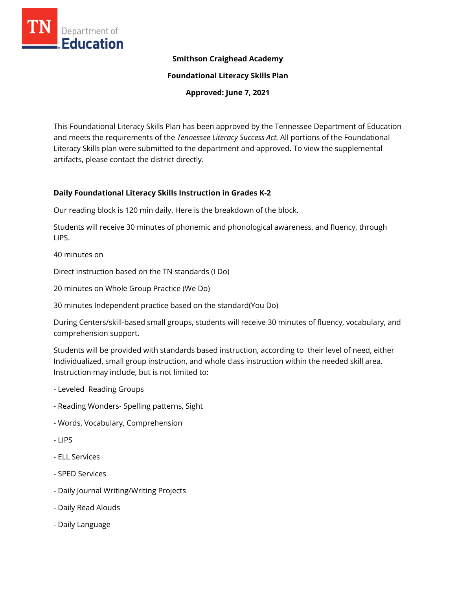

# **Smithson Craighead Academy**

**Foundational Literacy Skills Plan**

**Approved: June 7, 2021**

This Foundational Literacy Skills Plan has been approved by the Tennessee Department of Education and meets the requirements of the *Tennessee Literacy Success Act.* All portions of the Foundational Literacy Skills plan were submitted to the department and approved. To view the supplemental artifacts, please contact the district directly.

## **Daily Foundational Literacy Skills Instruction in Grades K-2**

Our reading block is 120 min daily. Here is the breakdown of the block.

Students will receive 30 minutes of phonemic and phonological awareness, and fluency, through LiPS.

40 minutes on

Direct instruction based on the TN standards (I Do)

20 minutes on Whole Group Practice (We Do)

30 minutes Independent practice based on the standard(You Do)

During Centers/skill-based small groups, students will receive 30 minutes of fluency, vocabulary, and comprehension support.

Students will be provided with standards based instruction, according to their level of need, either Individualized, small group instruction, and whole class instruction within the needed skill area. Instruction may include, but is not limited to:

- Leveled Reading Groups
- Reading Wonders- Spelling patterns, Sight
- Words, Vocabulary, Comprehension
- LIPS
- ELL Services
- SPED Services
- Daily Journal Writing/Writing Projects
- Daily Read Alouds
- Daily Language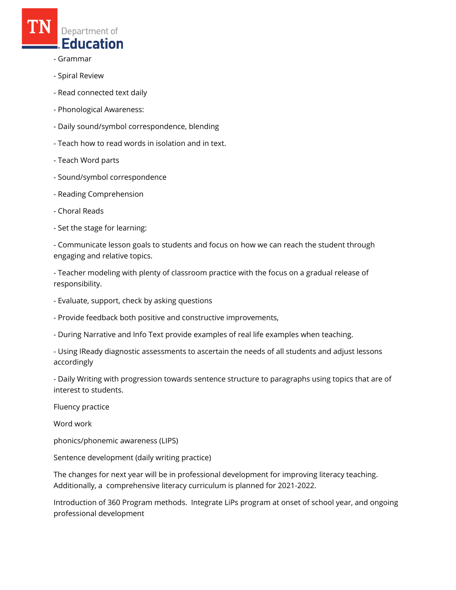

- Grammar
- Spiral Review
- Read connected text daily
- Phonological Awareness:
- Daily sound/symbol correspondence, blending
- Teach how to read words in isolation and in text.
- Teach Word parts
- Sound/symbol correspondence
- Reading Comprehension
- Choral Reads
- Set the stage for learning:
- Communicate lesson goals to students and focus on how we can reach the student through engaging and relative topics.
- Teacher modeling with plenty of classroom practice with the focus on a gradual release of responsibility.
- Evaluate, support, check by asking questions
- Provide feedback both positive and constructive improvements,
- During Narrative and Info Text provide examples of real life examples when teaching.
- Using IReady diagnostic assessments to ascertain the needs of all students and adjust lessons accordingly
- Daily Writing with progression towards sentence structure to paragraphs using topics that are of interest to students.
- Fluency practice
- Word work
- phonics/phonemic awareness (LIPS)
- Sentence development (daily writing practice)
- The changes for next year will be in professional development for improving literacy teaching. Additionally, a comprehensive literacy curriculum is planned for 2021-2022.
- Introduction of 360 Program methods. Integrate LiPs program at onset of school year, and ongoing professional development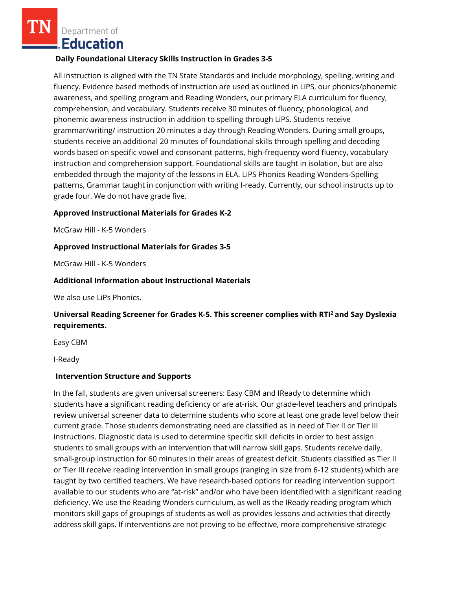Department of **Education** 

### **Daily Foundational Literacy Skills Instruction in Grades 3-5**

All instruction is aligned with the TN State Standards and include morphology, spelling, writing and fluency. Evidence based methods of instruction are used as outlined in LiPS, our phonics/phonemic awareness, and spelling program and Reading Wonders, our primary ELA curriculum for fluency, comprehension, and vocabulary. Students receive 30 minutes of fluency, phonological, and phonemic awareness instruction in addition to spelling through LiPS. Students receive grammar/writing/ instruction 20 minutes a day through Reading Wonders. During small groups, students receive an additional 20 minutes of foundational skills through spelling and decoding words based on specific vowel and consonant patterns, high-frequency word fluency, vocabulary instruction and comprehension support. Foundational skills are taught in isolation, but are also embedded through the majority of the lessons in ELA. LiPS Phonics Reading Wonders-Spelling patterns, Grammar taught in conjunction with writing I-ready. Currently, our school instructs up to grade four. We do not have grade five.

### **Approved Instructional Materials for Grades K-2**

McGraw Hill - K-5 Wonders

### **Approved Instructional Materials for Grades 3-5**

McGraw Hill - K-5 Wonders

## **Additional Information about Instructional Materials**

We also use LiPs Phonics.

# **Universal Reading Screener for Grades K-5. This screener complies with RTI<sup>2</sup>and Say Dyslexia requirements.**

Easy CBM

I-Ready

### **Intervention Structure and Supports**

In the fall, students are given universal screeners: Easy CBM and IReady to determine which students have a significant reading deficiency or are at-risk. Our grade-level teachers and principals review universal screener data to determine students who score at least one grade level below their current grade. Those students demonstrating need are classified as in need of Tier II or Tier III instructions. Diagnostic data is used to determine specific skill deficits in order to best assign students to small groups with an intervention that will narrow skill gaps. Students receive daily, small-group instruction for 60 minutes in their areas of greatest deficit. Students classified as Tier II or Tier III receive reading intervention in small groups (ranging in size from 6-12 students) which are taught by two certified teachers. We have research-based options for reading intervention support available to our students who are "at-risk" and/or who have been identified with a significant reading deficiency. We use the Reading Wonders curriculum, as well as the IReady reading program which monitors skill gaps of groupings of students as well as provides lessons and activities that directly address skill gaps. If interventions are not proving to be effective, more comprehensive strategic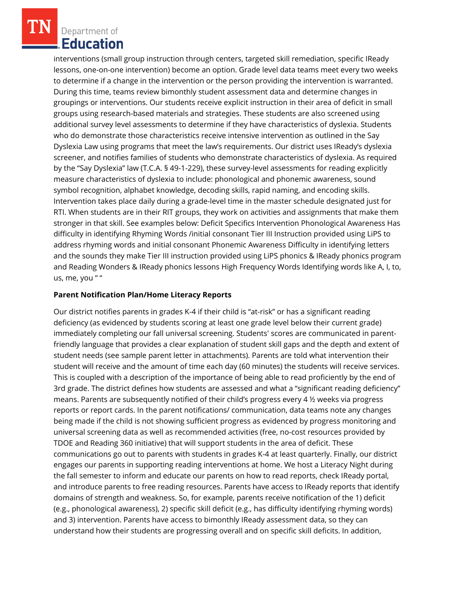Department of Education

interventions (small group instruction through centers, targeted skill remediation, specific IReady lessons, one-on-one intervention) become an option. Grade level data teams meet every two weeks to determine if a change in the intervention or the person providing the intervention is warranted. During this time, teams review bimonthly student assessment data and determine changes in groupings or interventions. Our students receive explicit instruction in their area of deficit in small groups using research-based materials and strategies. These students are also screened using additional survey level assessments to determine if they have characteristics of dyslexia. Students who do demonstrate those characteristics receive intensive intervention as outlined in the Say Dyslexia Law using programs that meet the law's requirements. Our district uses IReady's dyslexia screener, and notifies families of students who demonstrate characteristics of dyslexia. As required by the "Say Dyslexia" law (T.C.A. § 49-1-229), these survey-level assessments for reading explicitly measure characteristics of dyslexia to include: phonological and phonemic awareness, sound symbol recognition, alphabet knowledge, decoding skills, rapid naming, and encoding skills. Intervention takes place daily during a grade-level time in the master schedule designated just for RTI. When students are in their RIT groups, they work on activities and assignments that make them stronger in that skill. See examples below: Deficit Specifics Intervention Phonological Awareness Has difficulty in identifying Rhyming Words /initial consonant Tier III Instruction provided using LiPS to address rhyming words and initial consonant Phonemic Awareness Difficulty in identifying letters and the sounds they make Tier III instruction provided using LiPS phonics & IReady phonics program and Reading Wonders & IReady phonics lessons High Frequency Words Identifying words like A, I, to, us, me, you " "

## **Parent Notification Plan/Home Literacy Reports**

Our district notifies parents in grades K-4 if their child is "at-risk" or has a significant reading deficiency (as evidenced by students scoring at least one grade level below their current grade) immediately completing our fall universal screening. Students' scores are communicated in parentfriendly language that provides a clear explanation of student skill gaps and the depth and extent of student needs (see sample parent letter in attachments). Parents are told what intervention their student will receive and the amount of time each day (60 minutes) the students will receive services. This is coupled with a description of the importance of being able to read proficiently by the end of 3rd grade. The district defines how students are assessed and what a "significant reading deficiency" means. Parents are subsequently notified of their child's progress every 4 ½ weeks via progress reports or report cards. In the parent notifications/ communication, data teams note any changes being made if the child is not showing sufficient progress as evidenced by progress monitoring and universal screening data as well as recommended activities (free, no-cost resources provided by TDOE and Reading 360 initiative) that will support students in the area of deficit. These communications go out to parents with students in grades K-4 at least quarterly. Finally, our district engages our parents in supporting reading interventions at home. We host a Literacy Night during the fall semester to inform and educate our parents on how to read reports, check IReady portal, and introduce parents to free reading resources. Parents have access to IReady reports that identify domains of strength and weakness. So, for example, parents receive notification of the 1) deficit (e.g., phonological awareness), 2) specific skill deficit (e.g., has difficulty identifying rhyming words) and 3) intervention. Parents have access to bimonthly IReady assessment data, so they can understand how their students are progressing overall and on specific skill deficits. In addition,